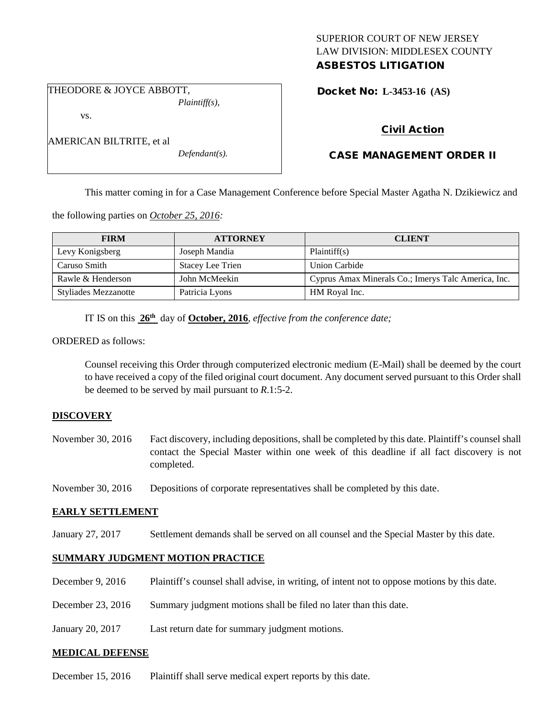### SUPERIOR COURT OF NEW JERSEY LAW DIVISION: MIDDLESEX COUNTY ASBESTOS LITIGATION

THEODORE & JOYCE ABBOTT, *Plaintiff(s),*

AMERICAN BILTRITE, et al

vs.

Docket No: **L-3453-16 (AS)** 

# Civil Action

# CASE MANAGEMENT ORDER II

This matter coming in for a Case Management Conference before Special Master Agatha N. Dzikiewicz and

the following parties on *October 25, 2016:*

| <b>FIRM</b>                 | <b>ATTORNEY</b>         | <b>CLIENT</b>                                       |
|-----------------------------|-------------------------|-----------------------------------------------------|
| Levy Konigsberg             | Joseph Mandia           | Plaintiff(s)                                        |
| Caruso Smith                | <b>Stacey Lee Trien</b> | Union Carbide                                       |
| Rawle & Henderson           | John McMeekin           | Cyprus Amax Minerals Co.; Imerys Talc America, Inc. |
| <b>Styliades Mezzanotte</b> | Patricia Lyons          | HM Royal Inc.                                       |

IT IS on this **26th** day of **October, 2016**, *effective from the conference date;*

*Defendant(s).*

ORDERED as follows:

Counsel receiving this Order through computerized electronic medium (E-Mail) shall be deemed by the court to have received a copy of the filed original court document. Any document served pursuant to this Order shall be deemed to be served by mail pursuant to *R*.1:5-2.

### **DISCOVERY**

November 30, 2016 Fact discovery, including depositions, shall be completed by this date. Plaintiff's counsel shall contact the Special Master within one week of this deadline if all fact discovery is not completed.

November 30, 2016 Depositions of corporate representatives shall be completed by this date.

#### **EARLY SETTLEMENT**

January 27, 2017 Settlement demands shall be served on all counsel and the Special Master by this date.

## **SUMMARY JUDGMENT MOTION PRACTICE**

- December 9, 2016 Plaintiff's counsel shall advise, in writing, of intent not to oppose motions by this date.
- December 23, 2016 Summary judgment motions shall be filed no later than this date.
- January 20, 2017 Last return date for summary judgment motions.

### **MEDICAL DEFENSE**

December 15, 2016 Plaintiff shall serve medical expert reports by this date.